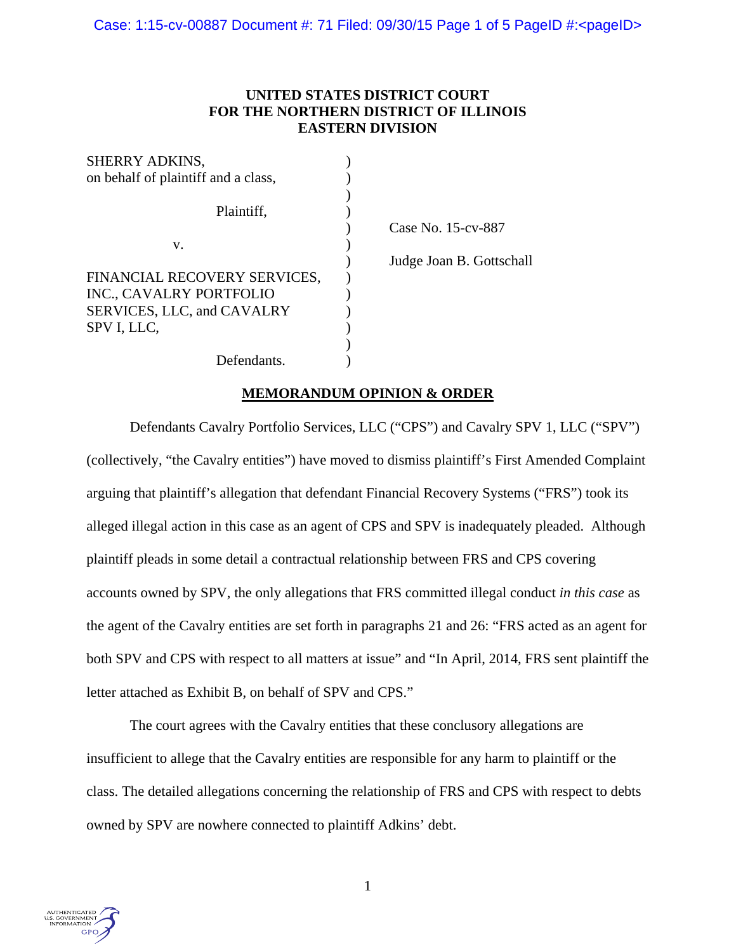# **UNITED STATES DISTRICT COURT FOR THE NORTHERN DISTRICT OF ILLINOIS EASTERN DIVISION**

| SHERRY ADKINS,                      |                          |
|-------------------------------------|--------------------------|
| on behalf of plaintiff and a class, |                          |
|                                     |                          |
| Plaintiff,                          |                          |
|                                     | Case No. 15-cv-887       |
| V.                                  |                          |
|                                     | Judge Joan B. Gottschall |
| FINANCIAL RECOVERY SERVICES,        |                          |
| INC., CAVALRY PORTFOLIO             |                          |
| SERVICES, LLC, and CAVALRY          |                          |
| SPV I, LLC,                         |                          |
|                                     |                          |
| Defendants.                         |                          |

## **MEMORANDUM OPINION & ORDER**

 Defendants Cavalry Portfolio Services, LLC ("CPS") and Cavalry SPV 1, LLC ("SPV") (collectively, "the Cavalry entities") have moved to dismiss plaintiff's First Amended Complaint arguing that plaintiff's allegation that defendant Financial Recovery Systems ("FRS") took its alleged illegal action in this case as an agent of CPS and SPV is inadequately pleaded. Although plaintiff pleads in some detail a contractual relationship between FRS and CPS covering accounts owned by SPV, the only allegations that FRS committed illegal conduct *in this case* as the agent of the Cavalry entities are set forth in paragraphs 21 and 26: "FRS acted as an agent for both SPV and CPS with respect to all matters at issue" and "In April, 2014, FRS sent plaintiff the letter attached as Exhibit B, on behalf of SPV and CPS."

 The court agrees with the Cavalry entities that these conclusory allegations are insufficient to allege that the Cavalry entities are responsible for any harm to plaintiff or the class. The detailed allegations concerning the relationship of FRS and CPS with respect to debts owned by SPV are nowhere connected to plaintiff Adkins' debt.

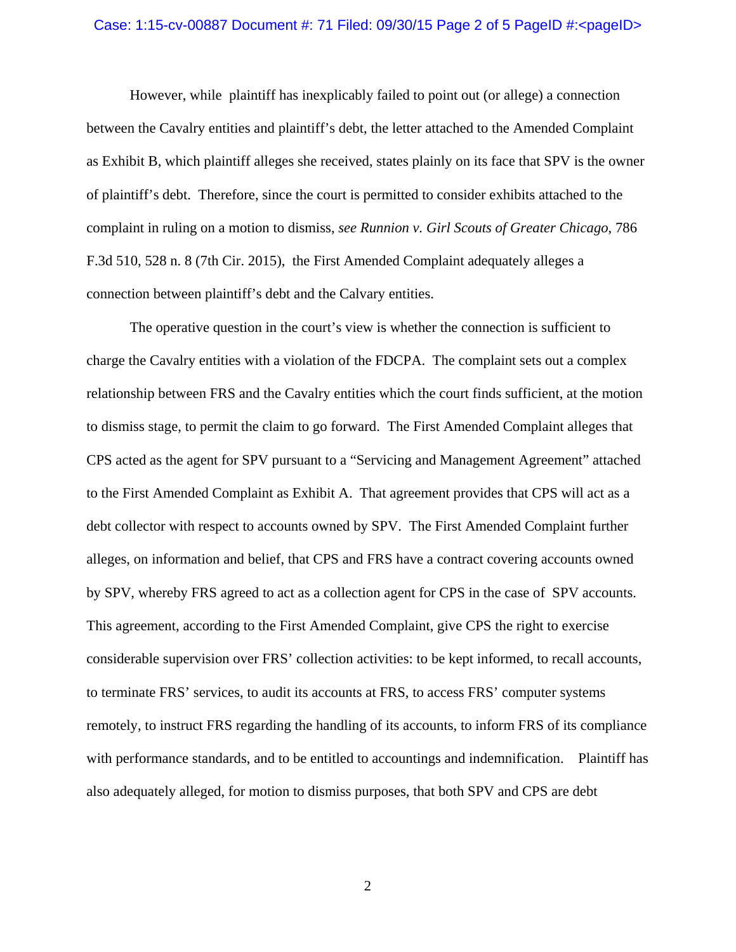#### Case: 1:15-cv-00887 Document #: 71 Filed: 09/30/15 Page 2 of 5 PageID #:<pageID>

 However, while plaintiff has inexplicably failed to point out (or allege) a connection between the Cavalry entities and plaintiff's debt, the letter attached to the Amended Complaint as Exhibit B, which plaintiff alleges she received, states plainly on its face that SPV is the owner of plaintiff's debt. Therefore, since the court is permitted to consider exhibits attached to the complaint in ruling on a motion to dismiss, *see Runnion v. Girl Scouts of Greater Chicago*, 786 F.3d 510, 528 n. 8 (7th Cir. 2015), the First Amended Complaint adequately alleges a connection between plaintiff's debt and the Calvary entities.

 The operative question in the court's view is whether the connection is sufficient to charge the Cavalry entities with a violation of the FDCPA. The complaint sets out a complex relationship between FRS and the Cavalry entities which the court finds sufficient, at the motion to dismiss stage, to permit the claim to go forward. The First Amended Complaint alleges that CPS acted as the agent for SPV pursuant to a "Servicing and Management Agreement" attached to the First Amended Complaint as Exhibit A. That agreement provides that CPS will act as a debt collector with respect to accounts owned by SPV. The First Amended Complaint further alleges, on information and belief, that CPS and FRS have a contract covering accounts owned by SPV, whereby FRS agreed to act as a collection agent for CPS in the case of SPV accounts. This agreement, according to the First Amended Complaint, give CPS the right to exercise considerable supervision over FRS' collection activities: to be kept informed, to recall accounts, to terminate FRS' services, to audit its accounts at FRS, to access FRS' computer systems remotely, to instruct FRS regarding the handling of its accounts, to inform FRS of its compliance with performance standards, and to be entitled to accountings and indemnification. Plaintiff has also adequately alleged, for motion to dismiss purposes, that both SPV and CPS are debt

2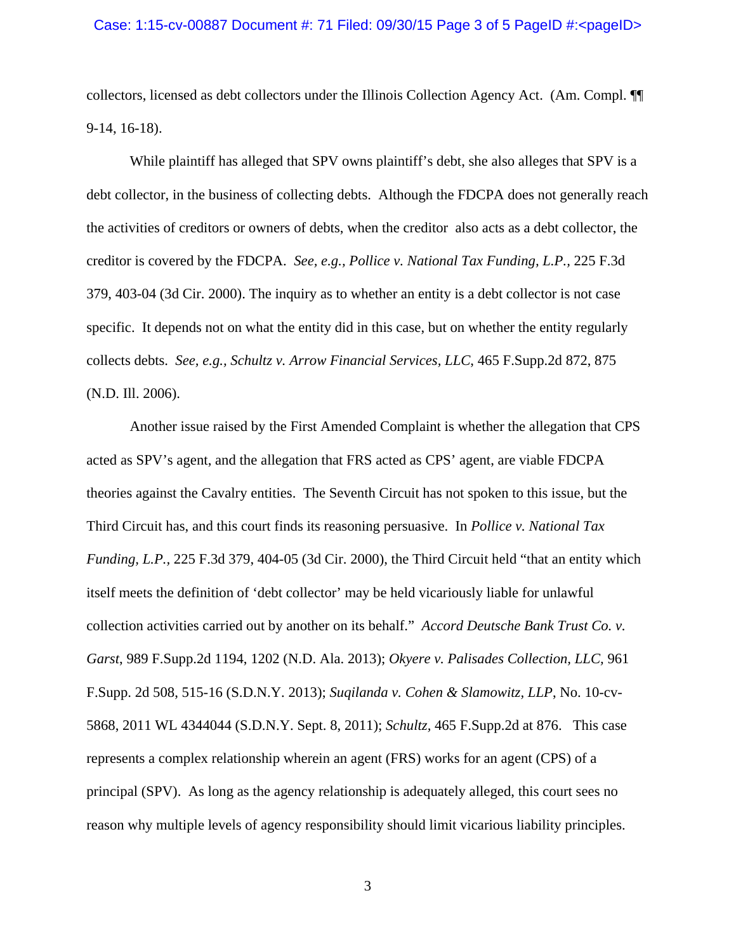collectors, licensed as debt collectors under the Illinois Collection Agency Act. (Am. Compl. ¶¶ 9-14, 16-18).

 While plaintiff has alleged that SPV owns plaintiff's debt, she also alleges that SPV is a debt collector, in the business of collecting debts. Although the FDCPA does not generally reach the activities of creditors or owners of debts, when the creditor also acts as a debt collector, the creditor is covered by the FDCPA. *See, e.g., Pollice v. National Tax Funding, L.P.,* 225 F.3d 379, 403-04 (3d Cir. 2000). The inquiry as to whether an entity is a debt collector is not case specific. It depends not on what the entity did in this case, but on whether the entity regularly collects debts. *See, e.g., Schultz v. Arrow Financial Services, LLC*, 465 F.Supp.2d 872, 875 (N.D. Ill. 2006).

 Another issue raised by the First Amended Complaint is whether the allegation that CPS acted as SPV's agent, and the allegation that FRS acted as CPS' agent, are viable FDCPA theories against the Cavalry entities. The Seventh Circuit has not spoken to this issue, but the Third Circuit has, and this court finds its reasoning persuasive. In *Pollice v. National Tax Funding, L.P.,* 225 F.3d 379, 404-05 (3d Cir. 2000), the Third Circuit held "that an entity which itself meets the definition of 'debt collector' may be held vicariously liable for unlawful collection activities carried out by another on its behalf." *Accord Deutsche Bank Trust Co. v. Garst*, 989 F.Supp.2d 1194, 1202 (N.D. Ala. 2013); *Okyere v. Palisades Collection, LLC,* 961 F.Supp. 2d 508, 515-16 (S.D.N.Y. 2013); *Suqilanda v. Cohen & Slamowitz, LLP*, No. 10-cv-5868, 2011 WL 4344044 (S.D.N.Y. Sept. 8, 2011); *Schultz,* 465 F.Supp.2d at 876. This case represents a complex relationship wherein an agent (FRS) works for an agent (CPS) of a principal (SPV). As long as the agency relationship is adequately alleged, this court sees no reason why multiple levels of agency responsibility should limit vicarious liability principles.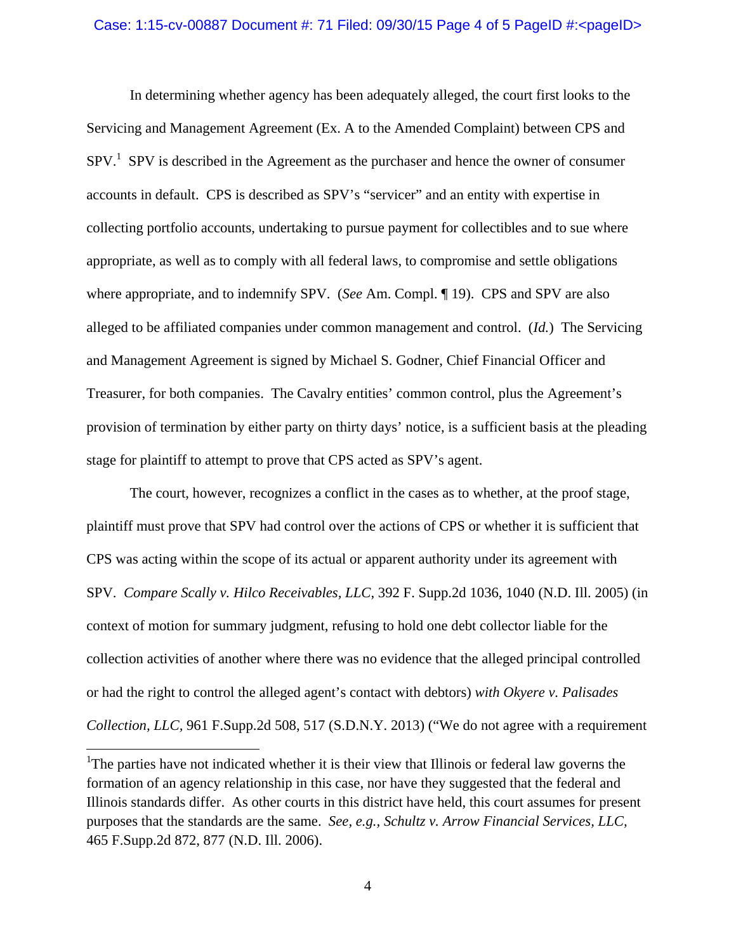### Case: 1:15-cv-00887 Document #: 71 Filed: 09/30/15 Page 4 of 5 PageID #:<pageID>

 In determining whether agency has been adequately alleged, the court first looks to the Servicing and Management Agreement (Ex. A to the Amended Complaint) between CPS and  $SPV<sup>1</sup>$  SPV is described in the Agreement as the purchaser and hence the owner of consumer accounts in default. CPS is described as SPV's "servicer" and an entity with expertise in collecting portfolio accounts, undertaking to pursue payment for collectibles and to sue where appropriate, as well as to comply with all federal laws, to compromise and settle obligations where appropriate, and to indemnify SPV. (*See* Am. Compl. ¶ 19). CPS and SPV are also alleged to be affiliated companies under common management and control. (*Id.*) The Servicing and Management Agreement is signed by Michael S. Godner, Chief Financial Officer and Treasurer, for both companies. The Cavalry entities' common control, plus the Agreement's provision of termination by either party on thirty days' notice, is a sufficient basis at the pleading stage for plaintiff to attempt to prove that CPS acted as SPV's agent.

 The court, however, recognizes a conflict in the cases as to whether, at the proof stage, plaintiff must prove that SPV had control over the actions of CPS or whether it is sufficient that CPS was acting within the scope of its actual or apparent authority under its agreement with SPV. *Compare Scally v. Hilco Receivables, LLC*, 392 F. Supp.2d 1036, 1040 (N.D. Ill. 2005) (in context of motion for summary judgment, refusing to hold one debt collector liable for the collection activities of another where there was no evidence that the alleged principal controlled or had the right to control the alleged agent's contact with debtors) *with Okyere v. Palisades Collection, LLC,* 961 F.Supp.2d 508, 517 (S.D.N.Y. 2013) ("We do not agree with a requirement

 $\overline{a}$ 

<sup>&</sup>lt;sup>1</sup>The parties have not indicated whether it is their view that Illinois or federal law governs the formation of an agency relationship in this case, nor have they suggested that the federal and Illinois standards differ. As other courts in this district have held, this court assumes for present purposes that the standards are the same. *See, e.g., Schultz v. Arrow Financial Services, LLC,*  465 F.Supp.2d 872, 877 (N.D. Ill. 2006).